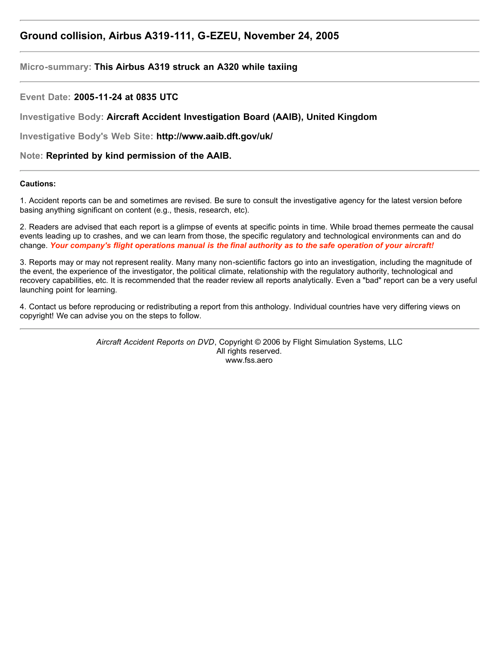# **Ground collision, Airbus A319-111, G-EZEU, November 24, 2005**

# **Micro-summary: This Airbus A319 struck an A320 while taxiing**

# **Event Date: 2005-11-24 at 0835 UTC**

**Investigative Body: Aircraft Accident Investigation Board (AAIB), United Kingdom**

**Investigative Body's Web Site: http://www.aaib.dft.gov/uk/**

# **Note: Reprinted by kind permission of the AAIB.**

#### **Cautions:**

1. Accident reports can be and sometimes are revised. Be sure to consult the investigative agency for the latest version before basing anything significant on content (e.g., thesis, research, etc).

2. Readers are advised that each report is a glimpse of events at specific points in time. While broad themes permeate the causal events leading up to crashes, and we can learn from those, the specific regulatory and technological environments can and do change. *Your company's flight operations manual is the final authority as to the safe operation of your aircraft!*

3. Reports may or may not represent reality. Many many non-scientific factors go into an investigation, including the magnitude of the event, the experience of the investigator, the political climate, relationship with the regulatory authority, technological and recovery capabilities, etc. It is recommended that the reader review all reports analytically. Even a "bad" report can be a very useful launching point for learning.

4. Contact us before reproducing or redistributing a report from this anthology. Individual countries have very differing views on copyright! We can advise you on the steps to follow.

> *Aircraft Accident Reports on DVD*, Copyright © 2006 by Flight Simulation Systems, LLC All rights reserved. www.fss.aero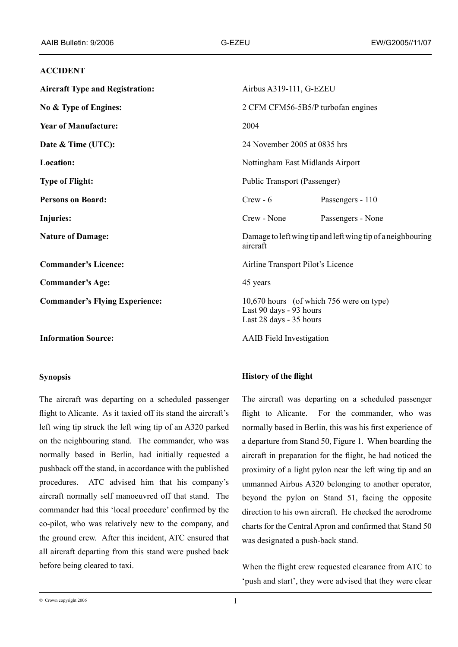# **ACCIDENT**

| <b>Aircraft Type and Registration:</b> | Airbus A319-111, G-EZEU                                                                        |
|----------------------------------------|------------------------------------------------------------------------------------------------|
| No & Type of Engines:                  | 2 CFM CFM56-5B5/P turbofan engines                                                             |
| <b>Year of Manufacture:</b>            | 2004                                                                                           |
| Date & Time (UTC):                     | 24 November 2005 at 0835 hrs                                                                   |
| Location:                              | Nottingham East Midlands Airport                                                               |
| <b>Type of Flight:</b>                 | Public Transport (Passenger)                                                                   |
| <b>Persons on Board:</b>               | $Crew - 6$<br>Passengers - 110                                                                 |
| <b>Injuries:</b>                       | Crew - None<br>Passengers - None                                                               |
| <b>Nature of Damage:</b>               | Damage to left wing tip and left wing tip of a neighbouring<br>aircraft                        |
| <b>Commander's Licence:</b>            | Airline Transport Pilot's Licence                                                              |
| <b>Commander's Age:</b>                | 45 years                                                                                       |
| <b>Commander's Flying Experience:</b>  | 10,670 hours (of which 756 were on type)<br>Last 90 days - 93 hours<br>Last 28 days - 35 hours |
| <b>Information Source:</b>             | <b>AAIB</b> Field Investigation                                                                |

# **Synopsis**

The aircraft was departing on a scheduled passenger flight to Alicante. As it taxied off its stand the aircraft's left wing tip struck the left wing tip of an A320 parked on the neighbouring stand. The commander, who was normally based in Berlin, had initially requested a pushback off the stand, in accordance with the published procedures. ATC advised him that his company's aircraft normally self manoeuvred off that stand. The commander had this 'local procedure' confirmed by the co-pilot, who was relatively new to the company, and the ground crew. After this incident, ATC ensured that all aircraft departing from this stand were pushed back before being cleared to taxi.

# **History of the flight**

The aircraft was departing on a scheduled passenger flight to Alicante. For the commander, who was normally based in Berlin, this was his first experience of a departure from Stand 50, Figure 1. When boarding the aircraft in preparation for the flight, he had noticed the proximity of a light pylon near the left wing tip and an unmanned Airbus A320 belonging to another operator, beyond the pylon on Stand 51, facing the opposite direction to his own aircraft. He checked the aerodrome charts for the Central Apron and confirmed that Stand 50 was designated a push-back stand.

When the flight crew requested clearance from ATC to 'push and start', they were advised that they were clear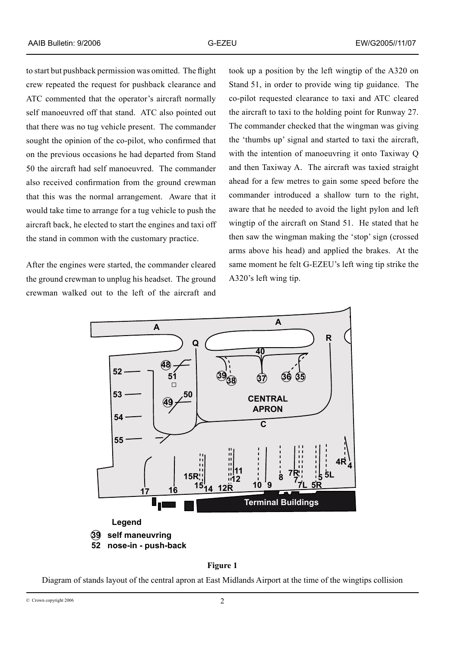to start but pushback permission was omitted. The flight crew repeated the request for pushback clearance and ATC commented that the operator's aircraft normally self manoeuvred off that stand. ATC also pointed out that there was no tug vehicle present. The commander sought the opinion of the co-pilot, who confirmed that on the previous occasions he had departed from Stand 50 the aircraft had self manoeuvred. The commander also received confirmation from the ground crewman that this was the normal arrangement. Aware that it would take time to arrange for a tug vehicle to push the aircraft back, he elected to start the engines and taxi off the stand in common with the customary practice.

After the engines were started, the commander cleared the ground crewman to unplug his headset. The ground crewman walked out to the left of the aircraft and took up a position by the left wingtip of the A320 on Stand 51, in order to provide wing tip guidance. The co-pilot requested clearance to taxi and ATC cleared the aircraft to taxi to the holding point for Runway 27. The commander checked that the wingman was giving the 'thumbs up' signal and started to taxi the aircraft, with the intention of manoeuvring it onto Taxiway Q and then Taxiway A. The aircraft was taxied straight ahead for a few metres to gain some speed before the commander introduced a shallow turn to the right, aware that he needed to avoid the light pylon and left wingtip of the aircraft on Stand 51. He stated that he then saw the wingman making the 'stop' sign (crossed arms above his head) and applied the brakes. At the same moment he felt G-EZEU's left wing tip strike the A320's left wing tip.





Diagram of stands layout of the central apron at East Midlands Airport at the time of the wingtips collision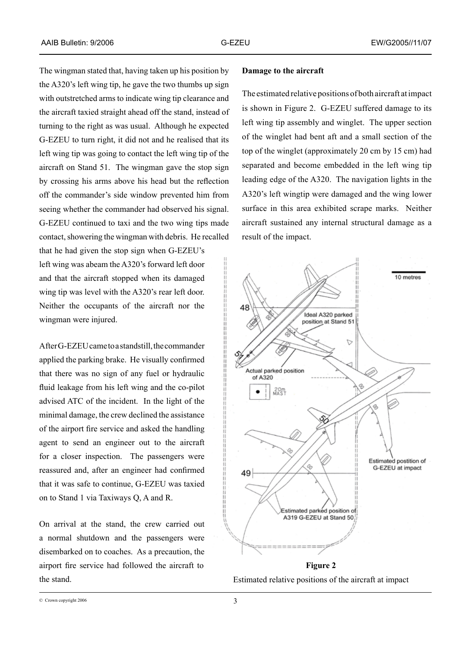The wingman stated that, having taken up his position by the A320's left wing tip, he gave the two thumbs up sign with outstretched arms to indicate wing tip clearance and the aircraft taxied straight ahead off the stand, instead of turning to the right as was usual. Although he expected G-EZEU to turn right, it did not and he realised that its left wing tip was going to contact the left wing tip of the aircraft on Stand 51. The wingman gave the stop sign by crossing his arms above his head but the reflection off the commander's side window prevented him from seeing whether the commander had observed his signal. G-EZEU continued to taxi and the two wing tips made contact, showering the wingman with debris. He recalled

that he had given the stop sign when G-EZEU's left wing was abeam the A320's forward left door and that the aircraft stopped when its damaged wing tip was level with the A320's rear left door. Neither the occupants of the aircraft nor the wingman were injured.

After G-EZEU came to a standstill, the commander applied the parking brake. He visually confirmed that there was no sign of any fuel or hydraulic fluid leakage from his left wing and the co-pilot advised ATC of the incident. In the light of the minimal damage, the crew declined the assistance of the airport fire service and asked the handling agent to send an engineer out to the aircraft for a closer inspection. The passengers were reassured and, after an engineer had confirmed that it was safe to continue, G‑EZEU was taxied on to Stand 1 via Taxiways Q, A and R.

On arrival at the stand, the crew carried out a normal shutdown and the passengers were disembarked on to coaches. As a precaution, the airport fire service had followed the aircraft to the stand.

#### **Damage to the aircraft**

The estimated relative positions of both aircraft at impact is shown in Figure 2. G-EZEU suffered damage to its left wing tip assembly and winglet. The upper section of the winglet had bent aft and a small section of the top of the winglet (approximately 20 cm by 15 cm) had separated and become embedded in the left wing tip leading edge of the A320. The navigation lights in the A320's left wingtip were damaged and the wing lower surface in this area exhibited scrape marks. Neither aircraft sustained any internal structural damage as a result of the impact.



Estimated relative positions of the aircraft at impact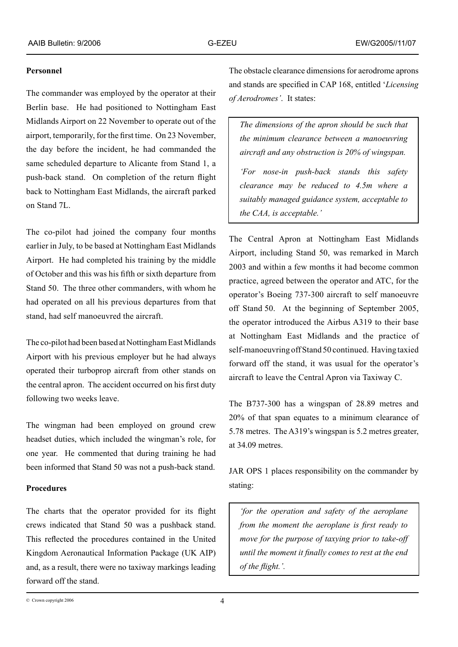### **Personnel**

The commander was employed by the operator at their Berlin base. He had positioned to Nottingham East Midlands Airport on 22 November to operate out of the airport, temporarily, for the first time. On 23 November, the day before the incident, he had commanded the same scheduled departure to Alicante from Stand 1, a push-back stand. On completion of the return flight back to Nottingham East Midlands, the aircraft parked on Stand 7L.

The co-pilot had joined the company four months earlier in July, to be based at Nottingham East Midlands Airport. He had completed his training by the middle of October and this was his fifth or sixth departure from Stand 50. The three other commanders, with whom he had operated on all his previous departures from that stand, had self manoeuvred the aircraft.

The co-pilot had been based at Nottingham East Midlands Airport with his previous employer but he had always operated their turboprop aircraft from other stands on the central apron. The accident occurred on his first duty following two weeks leave.

The wingman had been employed on ground crew headset duties, which included the wingman's role, for one year. He commented that during training he had been informed that Stand 50 was not a push-back stand.

# **Procedures**

The charts that the operator provided for its flight crews indicated that Stand 50 was a pushback stand. This reflected the procedures contained in the United Kingdom Aeronautical Information Package (UK AIP) and, as a result, there were no taxiway markings leading forward off the stand.

The obstacle clearance dimensions for aerodrome aprons and stands are specified in CAP 168, entitled '*Licensing of Aerodromes'*. It states:

*The dimensions of the apron should be such that the minimum clearance between a manoeuvring aircraft and any obstruction is 20% of wingspan.*

*'For nose-in push-back stands this safety clearance may be reduced to 4.5m where a suitably managed guidance system, acceptable to the CAA, is acceptable.'*

The Central Apron at Nottingham East Midlands Airport, including Stand 50, was remarked in March 2003 and within a few months it had become common practice, agreed between the operator and ATC, for the operator's Boeing 737-300 aircraft to self manoeuvre off Stand 50. At the beginning of September 2005, the operator introduced the Airbus A319 to their base at Nottingham East Midlands and the practice of self-manoeuvring off Stand 50 continued. Having taxied forward off the stand, it was usual for the operator's aircraft to leave the Central Apron via Taxiway C.

The B737-300 has a wingspan of 28.89 metres and 20% of that span equates to a minimum clearance of 5.78 metres. The A319's wingspan is 5.2 metres greater, at 34.09 metres.

JAR OPS 1 places responsibility on the commander by stating:

*'for the operation and safety of the aeroplane from the moment the aeroplane is first ready to move for the purpose of taxying prior to take-off until the moment it finally comes to rest at the end of the flight.'.*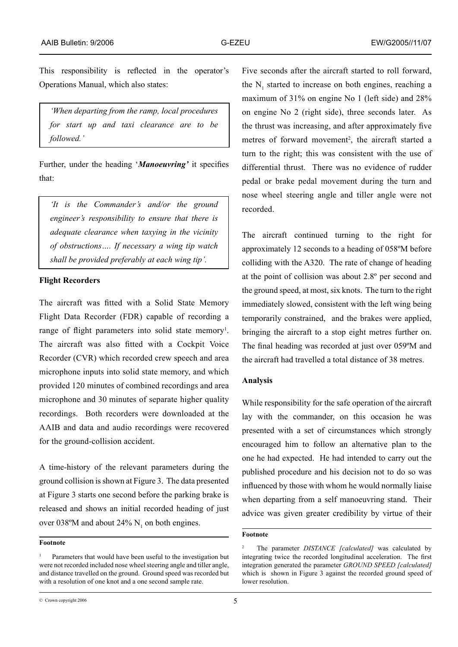This responsibility is reflected in the operator's Operations Manual, which also states:

*'When departing from the ramp, local procedures for start up and taxi clearance are to be followed.'* 

Further, under the heading '*Manoeuvring'* it specifies that:

*'It is the Commander's and/or the ground engineer's responsibility to ensure that there is adequate clearance when taxying in the vicinity of obstructions…. If necessary a wing tip watch shall be provided preferably at each wing tip'.* 

#### **Flight Recorders**

The aircraft was fitted with a Solid State Memory Flight Data Recorder (FDR) capable of recording a range of flight parameters into solid state memory<sup>1</sup>. The aircraft was also fitted with a Cockpit Voice Recorder (CVR) which recorded crew speech and area microphone inputs into solid state memory, and which provided 120 minutes of combined recordings and area microphone and 30 minutes of separate higher quality recordings. Both recorders were downloaded at the AAIB and data and audio recordings were recovered for the ground-collision accident.

A time-history of the relevant parameters during the ground collision is shown at Figure 3. The data presented at Figure 3 starts one second before the parking brake is released and shows an initial recorded heading of just over 038°M and about 24%  $N_1$  on both engines.

#### **Footnote**

Five seconds after the aircraft started to roll forward, the  $N_1$  started to increase on both engines, reaching a maximum of 31% on engine No 1 (left side) and 28% on engine No 2 (right side), three seconds later. As the thrust was increasing, and after approximately five metres of forward movement<sup>2</sup>, the aircraft started a turn to the right; this was consistent with the use of differential thrust. There was no evidence of rudder pedal or brake pedal movement during the turn and nose wheel steering angle and tiller angle were not recorded.

The aircraft continued turning to the right for approximately 12 seconds to a heading of 058ºM before colliding with the A320. The rate of change of heading at the point of collision was about 2.8º per second and the ground speed, at most, six knots. The turn to the right immediately slowed, consistent with the left wing being temporarily constrained, and the brakes were applied, bringing the aircraft to a stop eight metres further on. The final heading was recorded at just over 059ºM and the aircraft had travelled a total distance of 38 metres.

#### **Analysis**

While responsibility for the safe operation of the aircraft lay with the commander, on this occasion he was presented with a set of circumstances which strongly encouraged him to follow an alternative plan to the one he had expected. He had intended to carry out the published procedure and his decision not to do so was influenced by those with whom he would normally liaise when departing from a self manoeuvring stand. Their advice was given greater credibility by virtue of their

#### **Footnote**

Parameters that would have been useful to the investigation but were not recorded included nose wheel steering angle and tiller angle, and distance travelled on the ground. Ground speed was recorded but with a resolution of one knot and a one second sample rate.

<sup>2</sup> The parameter *DISTANCE [calculated]* was calculated by integrating twice the recorded longitudinal acceleration. The first integration generated the parameter *GROUND SPEED [calculated]* which is shown in Figure 3 against the recorded ground speed of lower resolution.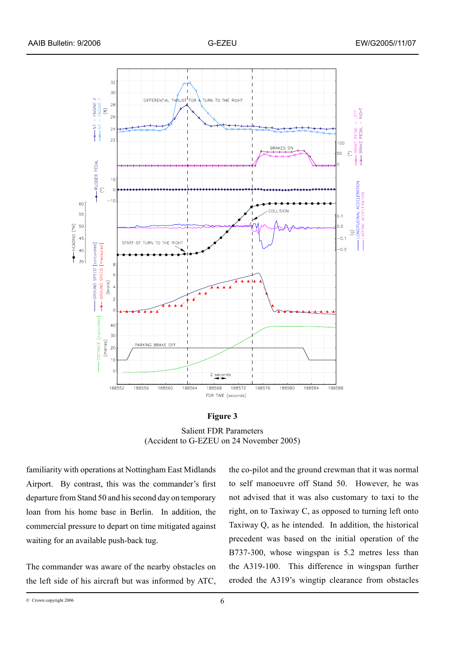

#### **Figure 3**

Salient FDR Parameters (Accident to G-EZEU on 24 November 2005)

familiarity with operations at Nottingham East Midlands Airport. By contrast, this was the commander's first departure from Stand 50 and his second day on temporary loan from his home base in Berlin. In addition, the commercial pressure to depart on time mitigated against waiting for an available push-back tug.

The commander was aware of the nearby obstacles on the left side of his aircraft but was informed by ATC, the co-pilot and the ground crewman that it was normal to self manoeuvre off Stand 50. However, he was not advised that it was also customary to taxi to the right, on to Taxiway C, as opposed to turning left onto Taxiway Q, as he intended. In addition, the historical precedent was based on the initial operation of the B737-300, whose wingspan is 5.2 metres less than the A319-100. This difference in wingspan further eroded the A319's wingtip clearance from obstacles